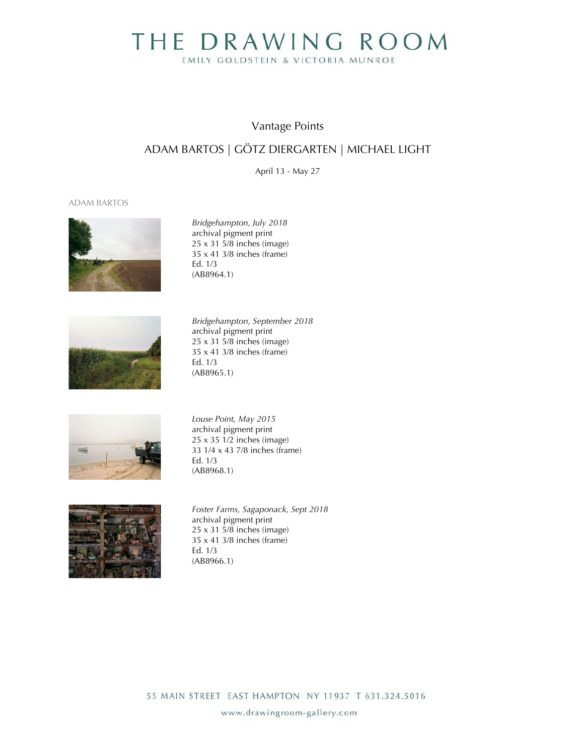# THE DRAWING ROOM EMILY GOLDSTEIN & VICTORIA MUNROE

## Vantage Points

# ADAM BARTOS | GÖTZ DIERGARTEN | MICHAEL LIGHT

April 13 - May 27

### ADAM BARTOS



*Bridgehampton, July 2018* archival pigment print 25 x 31 5/8 inches (image) 35 x 41 3/8 inches (frame) Ed. 1/3 (AB8964.1)



*Bridgehampton, September 2018* archival pigment print  $25 \times 31.5/8$  inches (image) 35 x 41 3/8 inches (frame) Ed. 1/3 (AB8965.1)



*Louse Point, May 2015* archival pigment print 25 x 35 1/2 inches (image) 33 1/4 x 43 7/8 inches (frame) Ed. 1/3 (AB8968.1)



*Foster Farms, Sagaponack, Sept 2018* archival pigment print 25 x 31 5/8 inches (image) 35 x 41 3/8 inches (frame) Ed. 1/3 (AB8966.1)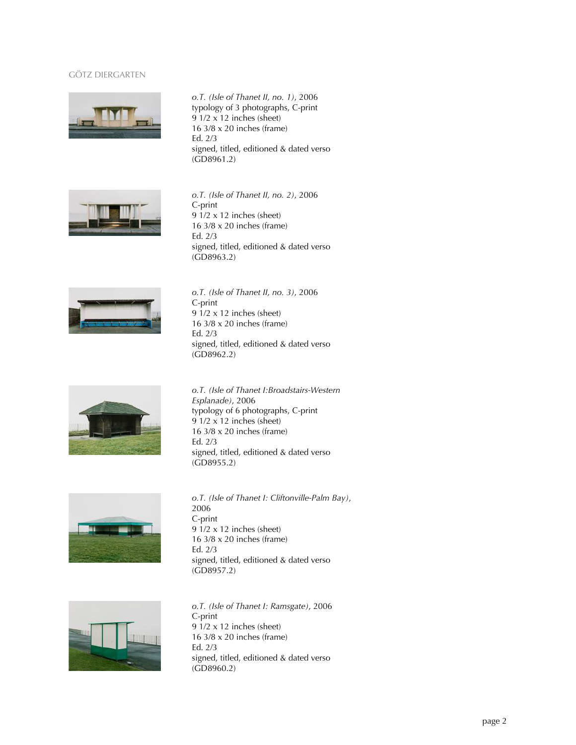### GÖTZ DIERGARTEN



*o.T. (Isle of Thanet II, no. 1)*, 2006 typology of 3 photographs, C-print 9 1/2 x 12 inches (sheet) 16 3/8 x 20 inches (frame) Ed. 2/3 signed, titled, editioned & dated verso (GD8961.2)



*o.T. (Isle of Thanet II, no. 2)*, 2006 C-print 9 1/2 x 12 inches (sheet) 16 3/8 x 20 inches (frame) Ed. 2/3 signed, titled, editioned & dated verso (GD8963.2)



*o.T. (Isle of Thanet II, no. 3)*, 2006 C-print 9 1/2 x 12 inches (sheet) 16 3/8 x 20 inches (frame) Ed. 2/3 signed, titled, editioned & dated verso (GD8962.2)



*o.T. (Isle of Thanet I:Broadstairs-Western Esplanade)*, 2006 typology of 6 photographs, C-print 9 1/2 x 12 inches (sheet) 16 3/8 x 20 inches (frame) Ed. 2/3 signed, titled, editioned & dated verso (GD8955.2)



*o.T. (Isle of Thanet I: Cliftonville-Palm Bay)*, 2006 C-print 9 1/2 x 12 inches (sheet) 16 3/8 x 20 inches (frame) Ed. 2/3 signed, titled, editioned & dated verso (GD8957.2)



*o.T. (Isle of Thanet I: Ramsgate)*, 2006 C-print 9 1/2 x 12 inches (sheet) 16 3/8 x 20 inches (frame) Ed. 2/3 signed, titled, editioned & dated verso (GD8960.2)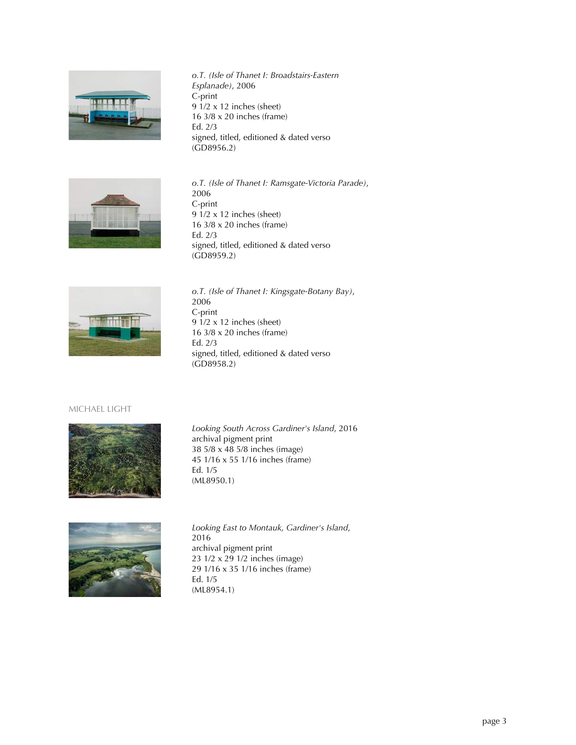

*o.T. (Isle of Thanet I: Broadstairs-Eastern Esplanade)*, 2006 C-print 9 1/2 x 12 inches (sheet) 16 3/8 x 20 inches (frame) Ed. 2/3 signed, titled, editioned & dated verso (GD8956.2)



*o.T. (Isle of Thanet I: Ramsgate-Victoria Parade)*, 2006 C-print 9 1/2 x 12 inches (sheet) 16 3/8 x 20 inches (frame) Ed. 2/3 signed, titled, editioned & dated verso (GD8959.2)



*o.T. (Isle of Thanet I: Kingsgate-Botany Bay)*, 2006 C-print 9 1/2 x 12 inches (sheet) 16 3/8 x 20 inches (frame) Ed. 2/3 signed, titled, editioned & dated verso (GD8958.2)

### MICHAEL LIGHT



*Looking South Across Gardiner's Island*, 2016 archival pigment print 38 5/8 x 48 5/8 inches (image) 45 1/16 x 55 1/16 inches (frame) Ed. 1/5 (ML8950.1)



*Looking East to Montauk, Gardiner's Island*, 2016 archival pigment print 23 1/2 x 29 1/2 inches (image) 29 1/16 x 35 1/16 inches (frame) Ed. 1/5 (ML8954.1)